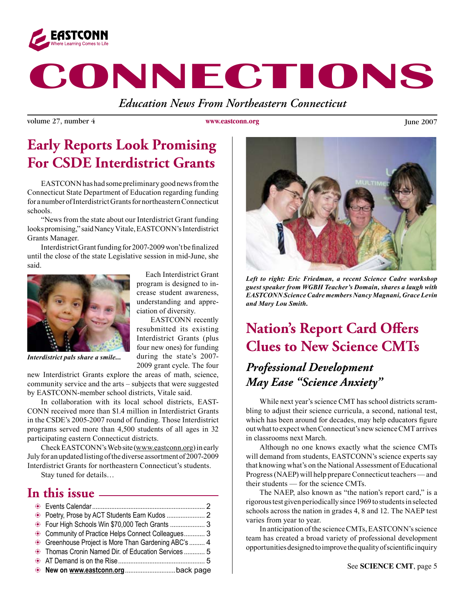

# **CONNECTIONS**

*Education News From Northeastern Connecticut*

volume 27, number 4 **June 2007 June 2007 June 2007** 

**www.eastconn.org**

### **Early Reports Look Promising For CSDE Interdistrict Grants**

EASTCONN has had some preliminary good news from the Connecticut State Department of Education regarding funding for a number of Interdistrict Grants for northeastern Connecticut schools.

 "News from the state about our Interdistrict Grant funding looks promising," said Nancy Vitale, EASTCONN's Interdistrict Grants Manager.

Interdistrict Grant funding for 2007-2009 won't be finalized until the close of the state Legislative session in mid-June, she said.



 Each Interdistrict Grant program is designed to increase student awareness, understanding and appreciation of diversity.

 EASTCONN recently resubmitted its existing Interdistrict Grants (plus four new ones) for funding during the state's 2007- 2009 grant cycle. The four

*Interdistrict pals share a smile...* 

new Interdistrict Grants explore the areas of math, science, community service and the arts – subjects that were suggested by EASTCONN-member school districts, Vitale said.

 In collaboration with its local school districts, EAST-CONN received more than \$1.4 million in Interdistrict Grants in the CSDE's 2005-2007 round of funding. Those Interdistrict programs served more than 4,500 students of all ages in 32 participating eastern Connecticut districts.

Check EASTCONN's Web site (www.eastconn.org) in early July for an updated listing of the diverse assortment of 2007-2009 Interdistrict Grants for northeastern Connecticut's students.

Stay tuned for details…

### **In this issue**

| . Four High Schools Win \$70,000 Tech Grants  3      |  |
|------------------------------------------------------|--|
| • Community of Practice Helps Connect Colleagues 3   |  |
| • Greenhouse Project is More Than Gardening ABC's  4 |  |
| Thomas Cronin Named Dir. of Education Services  5    |  |
|                                                      |  |
|                                                      |  |



*Left to right: Eric Friedman, a recent Science Cadre workshop guest speaker from WGBH Teacher's Domain, shares a laugh with EASTCONN Science Cadre members Nancy Magnani, Grace Levin and Mary Lou Smith.*

### **Nation's Report Card Offers Clues to New Science CMTs**

### *Professional Development May Ease "Science Anxiety"*

 While next year's science CMT has school districts scrambling to adjust their science curricula, a second, national test, which has been around for decades, may help educators figure outwhatto expectwhenConnecticut's newscienceCMTarrives in classrooms next March.

 Although no one knows exactly what the science CMTs will demand from students, EASTCONN's science experts say that knowing what's on the National Assessment of Educational Progress(NAEP) will help prepareConnecticut teachers—and their students — for the science CMTs.

The NAEP, also known as "the nation's report card," is a rigoroustest givenperiodicallysince1969 tostudentsin selected schools across the nation in grades 4, 8 and 12. The NAEP test varies from year to year.

In anticipation of the science CMTs, EASTCONN's science team has created a broad variety of professional development opportunitiesdesignedtoimprovethequalityofscientifcinquiry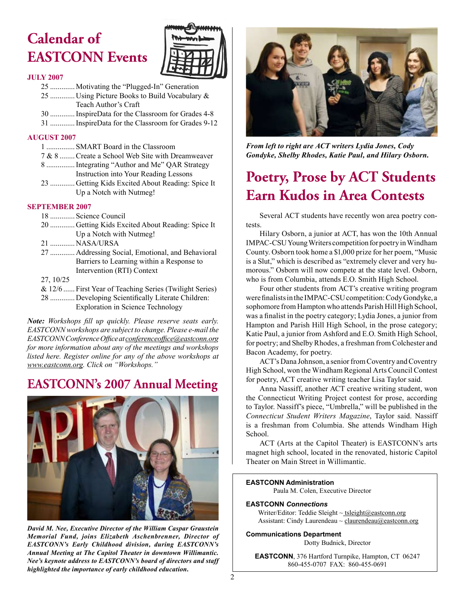## **Calendar of EASTCONN Events**



#### **JULY 2007**

- 25 ............. Motivating the "Plugged-In" Generation 25 ............. Using Picture Books to Build Vocabulary & Teach Author's Craft
- 30 .............InspireData for the Classroom for Grades 4-8
- 31 .............InspireData for the Classroom for Grades 9-12

#### **AUGUST 2007**

- 1 ............... SMART Board in the Classroom
- 7 & 8 ........Create a School Web Site with Dreamweaver
- 8 ...............Integrating "Author and Me" QAR Strategy Instruction into Your Reading Lessons
- 23 ............. Getting Kids Excited About Reading: Spice It Up a Notch with Nutmeg!

#### **SEPTEMBER 2007**

- 18 ............. Science Council
- 20 ............. Getting Kids Excited About Reading: Spice It Up a Notch with Nutmeg!
- 21 ............. NASA/URSA
- 27 ............. Addressing Social, Emotional, and Behavioral Barriers to Learning within a Response to Intervention (RTI) Context
- 27, 10/25
- & 12/6 ...... First Year of Teaching Series (Twilight Series)
- 28 ............. Developing Scientifcally Literate Children: Exploration in Science Technology

*Note: Workshops fll up quickly. Please reserve seats early. EASTCONN workshops are subject to change. Please e-mail the EASTCONN Conference Offce at conferenceoffce@eastconn.org for more information about any of the meetings and workshops listed here. Register online for any of the above workshops at www.eastconn.org. Click on "Workshops."*

### **EASTCONN's 2007 Annual Meeting**



*David M. Nee, Executive Director of the William Caspar Graustein Memorial Fund, joins Elizabeth Aschenbrenner, Director of EASTCONN's Early Childhood division, during EASTCONN's Annual Meeting at The Capitol Theater in downtown Willimantic. Nee's keynote address to EASTCONN's board of directors and staff highlighted the importance of early childhood education.* 



*From left to right are ACT writers Lydia Jones, Cody Gondyke, Shelby Rhodes, Katie Paul, and Hilary Osborn.* 

### **Poetry, Prose by ACT Students Earn Kudos in Area Contests**

 Several ACT students have recently won area poetry contests.

 Hilary Osborn, a junior at ACT, has won the 10th Annual IMPAC-CSU Young Writers competition for poetry in Windham County. Osborn took home a \$1,000 prize for her poem, "Music is a Slut," which is described as "extremely clever and very humorous." Osborn will now compete at the state level. Osborn, who is from Columbia, attends E.O. Smith High School.

 Four other students from ACT's creative writing program were finalists in the IMPAC-CSU competition: Cody Gondyke, a sophomore from Hampton who attends Parish Hill High School, was a fnalist in the poetry category; Lydia Jones, a junior from Hampton and Parish Hill High School, in the prose category; Katie Paul, a junior from Ashford and E.O. Smith High School, for poetry; and Shelby Rhodes, a freshman from Colchester and Bacon Academy, for poetry.

ACT's Dana Johnson, a senior from Coventry and Coventry High School, won the Windham Regional Arts Council Contest for poetry, ACT creative writing teacher Lisa Taylor said.

 Anna Nassiff, another ACT creative writing student, won the Connecticut Writing Project contest for prose, according to Taylor. Nassiff's piece, "Umbrella," will be published in the *Connecticut Student Writers Magazine*, Taylor said. Nassiff is a freshman from Columbia. She attends Windham High School.

 ACT (Arts at the Capitol Theater) is EASTCONN's arts magnet high school, located in the renovated, historic Capitol Theater on Main Street in Willimantic.

#### **EASTCONN Administration**

Paula M. Colen, Executive Director

#### **EASTCONN** *Connections*

Writer/Editor: Teddie Sleight ~ tsleight@eastconn.org Assistant: Cindy Laurendeau  $\sim$  claurendeau $@$ eastconn.org

#### **Communications Department**

Dotty Budnick, Director

**EASTCONN**, 376 Hartford Turnpike, Hampton, CT 06247 860-455-0707 FAX: 860-455-0691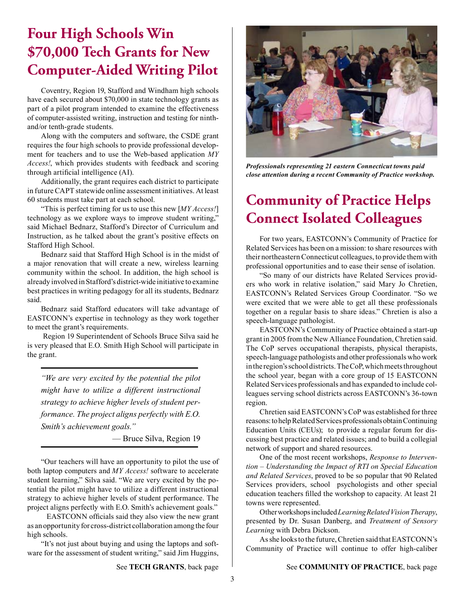### **Four High Schools Win \$70,000 Tech Grants for New Computer-Aided Writing Pilot**

 Coventry, Region 19, Stafford and Windham high schools have each secured about \$70,000 in state technology grants as part of a pilot program intended to examine the effectiveness of computer-assisted writing, instruction and testing for ninthand/or tenth-grade students.

 Along with the computers and software, the CSDE grant requires the four high schools to provide professional development for teachers and to use the Web-based application *MY Access!*, which provides students with feedback and scoring through artifcial intelligence (AI).

 Additionally, the grant requires each district to participate in futureCAPT statewide online assessment initiatives. At least 60 students must take part at each school.

 "This is perfect timing for us to use this new [*MY Access!*] technology as we explore ways to improve student writing," said Michael Bednarz, Stafford's Director of Curriculum and Instruction, as he talked about the grant's positive effects on Stafford High School.

 Bednarz said that Stafford High School is in the midst of a major renovation that will create a new, wireless learning community within the school. In addition, the high school is already involved in Stafford's district-wide initiative to examine best practices in writing pedagogy for all its students, Bednarz said.

 Bednarz said Stafford educators will take advantage of EASTCONN's expertise in technology as they work together to meet the grant's requirements.

Region 19 Superintendent of Schools Bruce Silva said he is very pleased that E.O. Smith High School will participate in the grant.

*"We are very excited by the potential the pilot might have to utilize a different instructional strategy to achieve higher levels of student performance. The project aligns perfectly with E.O. Smith's achievement goals."*

— Bruce Silva, Region 19

 "Our teachers will have an opportunity to pilot the use of both laptop computers and *MY Access!* software to accelerate student learning," Silva said. "We are very excited by the potential the pilot might have to utilize a different instructional strategy to achieve higher levels of student performance. The project aligns perfectly with E.O. Smith's achievement goals."

EASTCONN officials said they also view the new grant as an opportunity for cross-district collaboration among the four high schools.

 "It's not just about buying and using the laptops and software for the assessment of student writing," said Jim Huggins,



*Professionals representing 21 eastern Connecticut towns paid close attention during a recent Community of Practice workshop.*

### **Community of Practice Helps Connect Isolated Colleagues**

 For two years, EASTCONN's Community of Practice for Related Services has been on a mission: to share resources with their northeasternConnecticut colleagues, to provide themwith professional opportunities and to ease their sense of isolation.

 "So many of our districts have Related Services providers who work in relative isolation," said Mary Jo Chretien, EASTCONN's Related Services Group Coordinator. "So we were excited that we were able to get all these professionals together on a regular basis to share ideas." Chretien is also a speech-language pathologist.

 EASTCONN's Community of Practice obtained a start-up grant in 2005 from the New Alliance Foundation,Chretien said. The CoP serves occupational therapists, physical therapists, speech-language pathologists and other professionals who work in the region's school districts. The CoP, which meets throughout the school year, began with a core group of 15 EASTCONN Related Services professionals and has expanded to include colleagues serving school districts across EASTCONN's 36-town region.

 Chretien said EASTCONN's CoP was established for three reasons: to help Related Services professionals obtain Continuing Education Units (CEUs); to provide a regular forum for discussing best practice and related issues; and to build a collegial network of support and shared resources.

 One of the most recent workshops, *Response to Intervention – Understanding the Impact of RTI on Special Education and Related Services*, proved to be so popular that 90 Related Services providers, school psychologists and other special education teachers flled the workshop to capacity. At least 21 towns were represented.

 Otherworkshopsincluded*Learning Related Vision Therapy*, presented by Dr. Susan Danberg, and *Treatment of Sensory Learning* with Debra Dickson.

As she looks to the future, Chretien said that EASTCONN's Community of Practice will continue to offer high-caliber

See **TECH GRANTS**, back page

See **COMMUNITY OF PRACTICE**, back page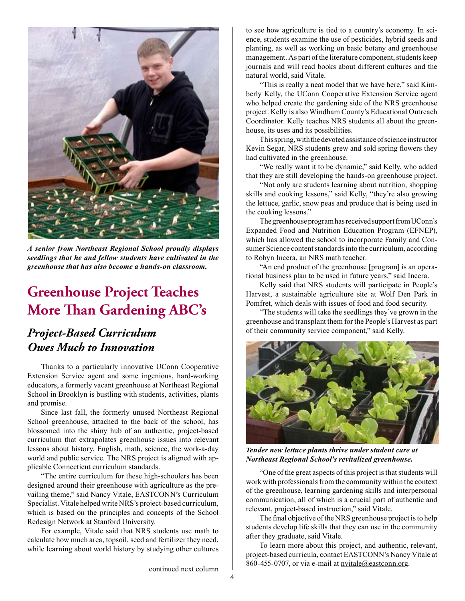

*A senior from Northeast Regional School proudly displays seedlings that he and fellow students have cultivated in the greenhouse that has also become a hands-on classroom.* 

### **Greenhouse Project Teaches More "an Gardening ABC's**

### *Project-Based Curriculum Owes Much to Innovation*

 Thanks to a particularly innovative UConn Cooperative Extension Service agent and some ingenious, hard-working educators, a formerly vacant greenhouse at Northeast Regional School in Brooklyn is bustling with students, activities, plants and promise.

 Since last fall, the formerly unused Northeast Regional School greenhouse, attached to the back of the school, has blossomed into the shiny hub of an authentic, project-based curriculum that extrapolates greenhouse issues into relevant lessons about history, English, math, science, the work-a-day world and public service. The NRS project is aligned with applicable Connecticut curriculum standards.

 "The entire curriculum for these high-schoolers has been designed around their greenhouse with agriculture as the prevailing theme," said Nancy Vitale, EASTCONN's Curriculum Specialist. Vitale helped write NRS's project-based curriculum, which is based on the principles and concepts of the School Redesign Network at Stanford University.

 For example, Vitale said that NRS students use math to calculate how much area, topsoil, seed and fertilizer they need, while learning about world history by studying other cultures

to see how agriculture is tied to a country's economy. In science, students examine the use of pesticides, hybrid seeds and planting, as well as working on basic botany and greenhouse management. As part of the literature component, students keep journals and will read books about different cultures and the natural world, said Vitale.

 "This is really a neat model that we have here," said Kimberly Kelly, the UConn Cooperative Extension Service agent who helped create the gardening side of the NRS greenhouse project. Kelly is also Windham County's Educational Outreach Coordinator. Kelly teaches NRS students all about the greenhouse, its uses and its possibilities.

This spring, with the devoted assistance of science instructor Kevin Segar, NRS students grew and sold spring fowers they had cultivated in the greenhouse.

 "We really want it to be dynamic," said Kelly, who added that they are still developing the hands-on greenhouse project.

 "Not only are students learning about nutrition, shopping skills and cooking lessons," said Kelly, "they're also growing the lettuce, garlic, snow peas and produce that is being used in the cooking lessons."

The greenhouse program has received support from UConn's Expanded Food and Nutrition Education Program (EFNEP), which has allowed the school to incorporate Family and Consumer Science content standards into the curriculum, according to Robyn Incera, an NRS math teacher.

 "An end product of the greenhouse [program] is an operational business plan to be used in future years," said Incera.

 Kelly said that NRS students will participate in People's Harvest, a sustainable agriculture site at Wolf Den Park in Pomfret, which deals with issues of food and food security.

 "The students will take the seedlings they've grown in the greenhouse and transplant them for the People's Harvest as part of their community service component," said Kelly.



*Tender new lettuce plants thrive under student care at Northeast Regional School's revitalized greenhouse.*

"One of the great aspects of this project is that students will work with professionals from the community within the context of the greenhouse, learning gardening skills and interpersonal communication, all of which is a crucial part of authentic and relevant, project-based instruction," said Vitale.

 The fnal objective of the NRS greenhouse project isto help students develop life skills that they can use in the community after they graduate, said Vitale.

 To learn more about this project, and authentic, relevant, project-based curricula, contact EASTCONN's Nancy Vitale at 860-455-0707, or via e-mail at nvitale@eastconn.org.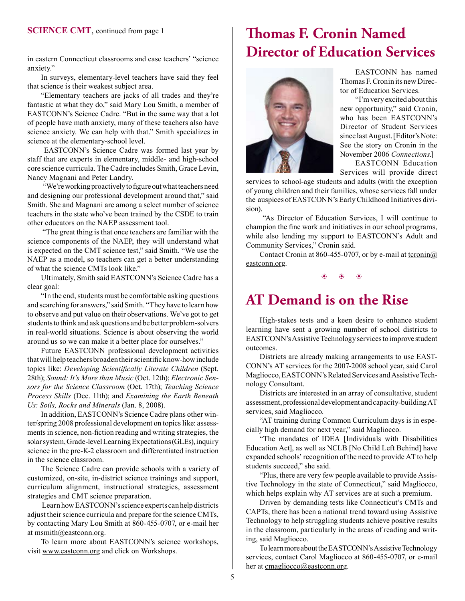in eastern Connecticut classrooms and ease teachers' "science anxiety."

 In surveys, elementary-level teachers have said they feel that science is their weakest subject area.

 "Elementary teachers are jacks of all trades and they're fantastic at what they do," said Mary Lou Smith, a member of EASTCONN's Science Cadre. "But in the same way that a lot of people have math anxiety, many of these teachers also have science anxiety. We can help with that." Smith specializes in science at the elementary-school level.

EASTCONN's Science Cadre was formed last year by staff that are experts in elementary, middle- and high-school core science curricula. The Cadre includes Smith, Grace Levin, Nancy Magnani and Peter Landry.

"We're working proactively to figure out what teachers need and designing our professional development around that," said Smith. She and Magnani are among a select number of science teachers in the state who've been trained by the CSDE to train other educators on the NAEP assessment tool.

"The great thing is that once teachers are familiar with the science components of the NAEP, they will understand what is expected on the CMT science test," said Smith. "We use the NAEP as a model, so teachers can get a better understanding of what the science CMTs look like."

 Ultimately, Smith said EASTCONN's Science Cadre has a clear goal:

"In the end, students must be comfortable asking questions and searching for answers," said Smith. "They have to learn how to observe and put value on their observations. We've got to get students to think and ask questions and be better problem-solvers in real-world situations. Science is about observing the world around us so we can make it a better place for ourselves."

 Future EASTCONN professional development activities that will help teachers broaden their scientific know-how include topics like: *Developing Scientifcally Literate Children* (Sept. 28th); *Sound: It's More than Music* (Oct. 12th); *Electronic Sensors for the Science Classroom* (Oct. 17th); *Teaching Science Process Skills* (Dec. 11th); and *Examining the Earth Beneath Us: Soils, Rocks and Minerals* (Jan. 8, 2008).

 In addition, EASTCONN's Science Cadre plans other winter/spring 2008 professional development on topics like: assessments in science, non-fiction reading and writing strategies, the solar system, Grade-level Learning Expectations (GLEs), inquiry science in the pre-K-2 classroom and differentiated instruction in the science classroom.

 The Science Cadre can provide schools with a variety of customized, on-site, in-district science trainings and support, curriculum alignment, instructional strategies, assessment strategies and CMT science preparation.

Learn howEASTCONN'sscience experts canhelpdistricts adjust their science curricula and prepare for the science CMTs, by contacting Mary Lou Smith at 860-455-0707, or e-mail her at msmith@eastconn.org.

 To learn more about EASTCONN's science workshops, visit www.eastconn.org and click on Workshops.

### **"omas F. Cronin Named Director of Education Services**



 EASTCONN has named Thomas F.Cronin its new Director of Education Services.

 "I'mvery excited aboutthis new opportunity," said Cronin, who has been EASTCONN's Director of Student Services since last August. [Editor's Note: See the story on Cronin in the November 2006 *Connections*.] EASTCONN Education

Services will provide direct

services to school-age students and adults (with the exception of young children and their families, whose services fall under the auspices of EASTCONN's EarlyChildhood Initiatives division).

"As Director of Education Services, I will continue to champion the fne work and initiatives in our school programs, while also lending my support to EASTCONN's Adult and Community Services," Cronin said.

Contact Cronin at 860-455-0707, or by e-mail at tcronin $@$ eastconn.org.

 $\circledast$   $\circledast$   $\circledast$ 

### **AT Demand is on the Rise**

 High-stakes tests and a keen desire to enhance student learning have sent a growing number of school districts to EASTCONN's Assistive Technology services to improve student outcomes.

 Districts are already making arrangements to use EAST-CONN's AT services for the 2007-2008 school year, said Carol Magliocco, EASTCONN's Related Services and Assistive Technology Consultant.

 Districts are interested in an array of consultative, student assessment, professional development and capacity-building AT services, said Magliocco.

 "AT training during Common Curriculum days is in especially high demand for next year," said Magliocco.

 "The mandates of IDEA [Individuals with Disabilities Education Act], as well as NCLB [No Child Left Behind] have expanded schools' recognition of the need to provide AT to help students succeed," she said.

 "Plus, there are very few people available to provide Assistive Technology in the state of Connecticut," said Magliocco, which helps explain why AT services are at such a premium.

 Driven by demanding tests like Connecticut's CMTs and CAPTs, there has been a national trend toward using Assistive Technology to help struggling students achieve positive results in the classroom, particularly in the areas of reading and writing, said Magliocco.

 TolearnmoreabouttheEASTCONN'sAssistiveTechnology services, contact Carol Magliocco at 860-455-0707, or e-mail her at cmagliocco@eastconn.org.